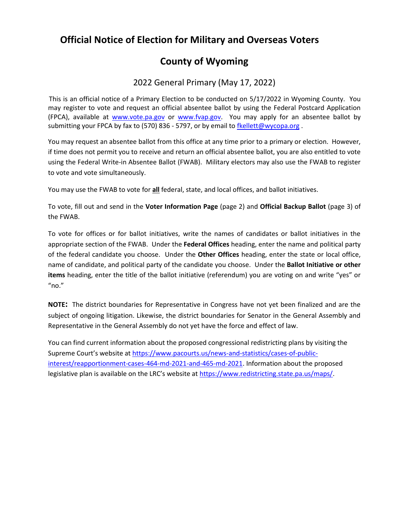## **Official Notice of Election for Military and Overseas Voters**

# **County of Wyoming**

### 2022 General Primary (May 17, 2022)

This is an official notice of a Primary Election to be conducted on 5/17/2022 in Wyoming County. You may register to vote and request an official absentee ballot by using the Federal Postcard Application (FPCA), available at [www.vote.pa.gov](http://www.vote.pa.gov/) or [www.fvap.gov.](http://www.fvap.gov/) You may apply for an absentee ballot by submitting your FPCA by fax to (570) 836 - 5797, or by email to [fkellett@wycopa.org](mailto:fkellett@wycopa.org).

You may request an absentee ballot from this office at any time prior to a primary or election. However, if time does not permit you to receive and return an official absentee ballot, you are also entitled to vote using the Federal Write-in Absentee Ballot (FWAB). Military electors may also use the FWAB to register to vote and vote simultaneously.

You may use the FWAB to vote for **all** federal, state, and local offices, and ballot initiatives.

To vote, fill out and send in the **Voter Information Page** (page 2) and **Official Backup Ballot** (page 3) of the FWAB.

To vote for offices or for ballot initiatives, write the names of candidates or ballot initiatives in the appropriate section of the FWAB. Under the **Federal Offices** heading, enter the name and political party of the federal candidate you choose. Under the **Other Offices** heading, enter the state or local office, name of candidate, and political party of the candidate you choose. Under the **Ballot Initiative or other items** heading, enter the title of the ballot initiative (referendum) you are voting on and write "yes" or "no."

**NOTE:** The district boundaries for Representative in Congress have not yet been finalized and are the subject of ongoing litigation. Likewise, the district boundaries for Senator in the General Assembly and Representative in the General Assembly do not yet have the force and effect of law.

You can find current information about the proposed congressional redistricting plans by visiting the Supreme Court's website at [https://www.pacourts.us/news-and-statistics/cases-of-public](https://www.pacourts.us/news-and-statistics/cases-of-public-interest/reapportionment-cases-464-md-2021-and-465-md-2021)[interest/reapportionment-cases-464-md-2021-and-465-md-2021.](https://www.pacourts.us/news-and-statistics/cases-of-public-interest/reapportionment-cases-464-md-2021-and-465-md-2021) Information about the proposed legislative plan is available on the LRC's website at [https://www.redistricting.state.pa.us/maps/.](https://www.redistricting.state.pa.us/maps/)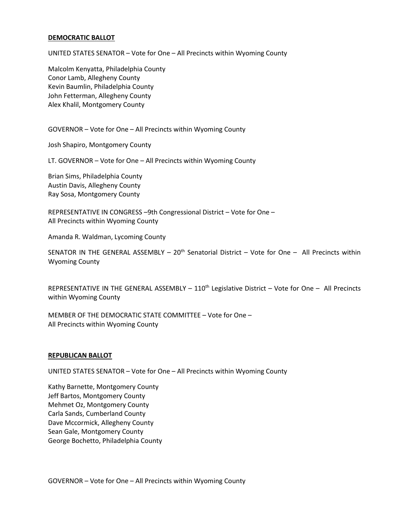### **DEMOCRATIC BALLOT**

UNITED STATES SENATOR – Vote for One – All Precincts within Wyoming County

Malcolm Kenyatta, Philadelphia County Conor Lamb, Allegheny County Kevin Baumlin, Philadelphia County John Fetterman, Allegheny County Alex Khalil, Montgomery County

GOVERNOR – Vote for One – All Precincts within Wyoming County

Josh Shapiro, Montgomery County

LT. GOVERNOR – Vote for One – All Precincts within Wyoming County

Brian Sims, Philadelphia County Austin Davis, Allegheny County Ray Sosa, Montgomery County

REPRESENTATIVE IN CONGRESS –9th Congressional District – Vote for One – All Precincts within Wyoming County

Amanda R. Waldman, Lycoming County

SENATOR IN THE GENERAL ASSEMBLY  $-20<sup>th</sup>$  Senatorial District  $-$  Vote for One  $-$  All Precincts within Wyoming County

REPRESENTATIVE IN THE GENERAL ASSEMBLY  $-110^{th}$  Legislative District  $-$  Vote for One  $-$  All Precincts within Wyoming County

MEMBER OF THE DEMOCRATIC STATE COMMITTEE – Vote for One – All Precincts within Wyoming County

### **REPUBLICAN BALLOT**

UNITED STATES SENATOR – Vote for One – All Precincts within Wyoming County

Kathy Barnette, Montgomery County Jeff Bartos, Montgomery County Mehmet Oz, Montgomery County Carla Sands, Cumberland County Dave Mccormick, Allegheny County Sean Gale, Montgomery County George Bochetto, Philadelphia County

GOVERNOR – Vote for One – All Precincts within Wyoming County